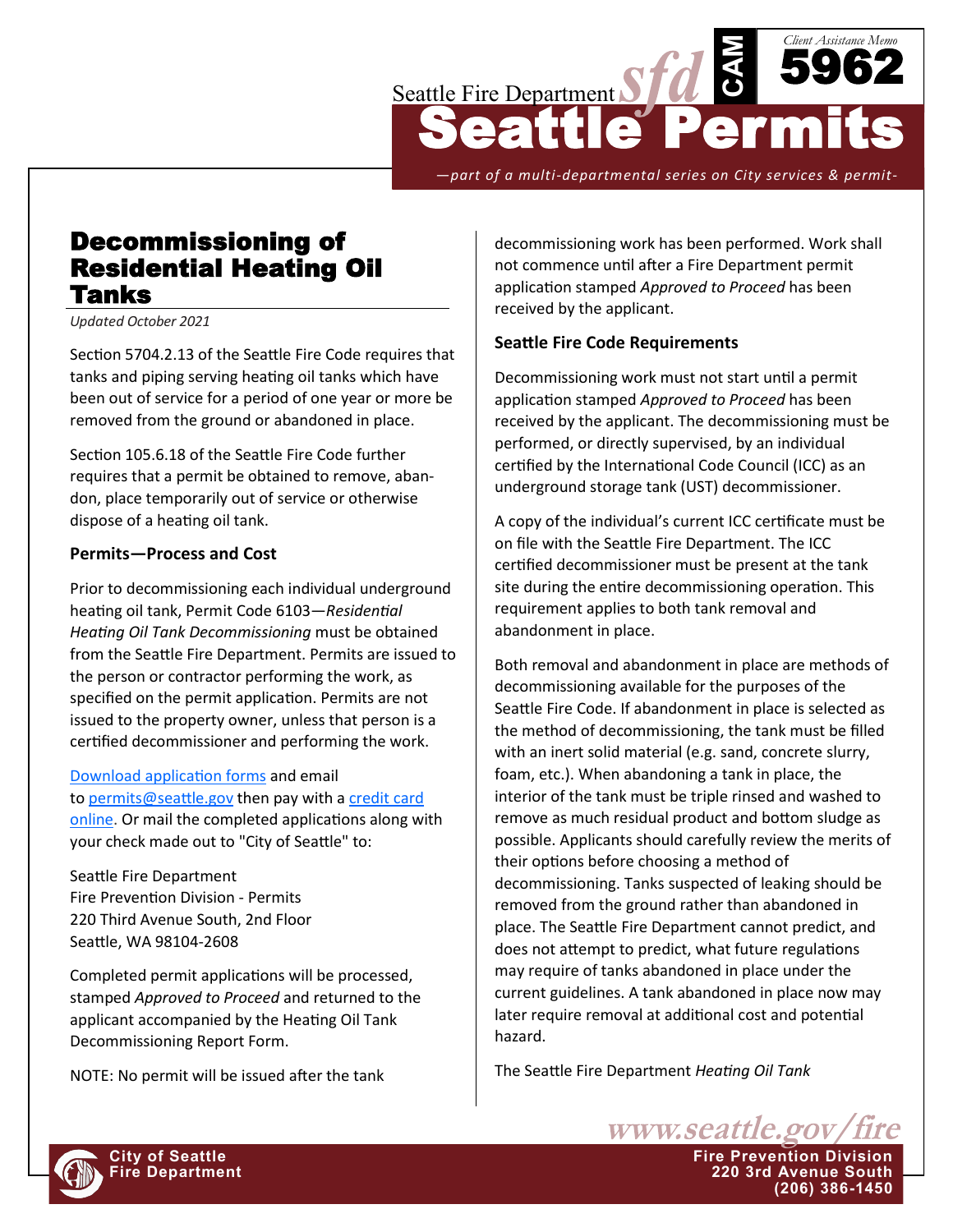

*—part of a multi-departmental series on City services & permit-*

## Decommissioning of Residential Heating Oil Tanks

*Updated October 2021*

Section 5704.2.13 of the Seattle Fire Code requires that tanks and piping serving heating oil tanks which have been out of service for a period of one year or more be removed from the ground or abandoned in place.

Section 105.6.18 of the Seattle Fire Code further requires that a permit be obtained to remove, abandon, place temporarily out of service or otherwise dispose of a heating oil tank.

## **Permits—Process and Cost**

Prior to decommissioning each individual underground heating oil tank, Permit Code 6103—*Residential Heating Oil Tank Decommissioning* must be obtained from the Seattle Fire Department. Permits are issued to the person or contractor performing the work, as specified on the permit application. Permits are not issued to the property owner, unless that person is a certified decommissioner and performing the work.

[Download application forms](http://www2.seattle.gov/fire/PermitSearch/) and email to [permits@seattle.gov](mailto:permits@seattle.gov) then pay with a credit card [online.](https://web7.seattle.gov/sfd/permits/) Or mail the completed applications along with your check made out to "City of Seattle" to:

Seattle Fire Department Fire Prevention Division - Permits 220 Third Avenue South, 2nd Floor Seattle, WA 98104-2608

Completed permit applications will be processed, stamped *Approved to Proceed* and returned to the applicant accompanied by the Heating Oil Tank Decommissioning Report Form.

NOTE: No permit will be issued after the tank

decommissioning work has been performed. Work shall not commence until after a Fire Department permit application stamped *Approved to Proceed* has been received by the applicant.

## **Seattle Fire Code Requirements**

Decommissioning work must not start until a permit application stamped *Approved to Proceed* has been received by the applicant. The decommissioning must be performed, or directly supervised, by an individual certified by the International Code Council (ICC) as an underground storage tank (UST) decommissioner.

A copy of the individual's current ICC certificate must be on file with the Seattle Fire Department. The ICC certified decommissioner must be present at the tank site during the entire decommissioning operation. This requirement applies to both tank removal and abandonment in place.

Both removal and abandonment in place are methods of decommissioning available for the purposes of the Seattle Fire Code. If abandonment in place is selected as the method of decommissioning, the tank must be filled with an inert solid material (e.g. sand, concrete slurry, foam, etc.). When abandoning a tank in place, the interior of the tank must be triple rinsed and washed to remove as much residual product and bottom sludge as possible. Applicants should carefully review the merits of their options before choosing a method of decommissioning. Tanks suspected of leaking should be removed from the ground rather than abandoned in place. The Seattle Fire Department cannot predict, and does not attempt to predict, what future regulations may require of tanks abandoned in place under the current guidelines. A tank abandoned in place now may later require removal at additional cost and potential hazard.

The Seattle Fire Department *Heating Oil Tank* 

**Fire Department 220 3rd Avenue South**

www.seattle.gov/fire

**(206) 386-1450**